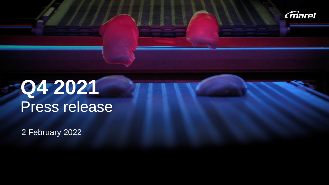

# **Q4 2021** Press release Press release

 $2$  Fobruary  $202$ 2 February 2022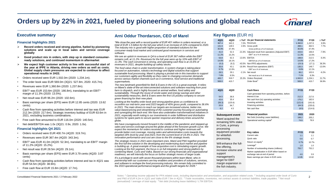### **Orders up by 22% in 2021, fueled by pioneering solutions and global reach**



#### **Financial highlights 2021**

- ➢ **Record orders received and strong pipeline, fueled by pioneering solutions and scale up in local sales and service coverage globally**
- ➢ **Good product mix in orders, with step up in standard consumerready solutions, and continued momentum in aftermarket**
- ➢ **We expect high customer activity in line with successful start of the year at IPPE in Atlanta, driving new orders as well as costs. Global supply chain pressures are expected to continue to affect operational results in 1H22.**
- Orders received were EUR 1,502.0m (2020: 1,234.1m).
- The order book was EUR 569.0m (3Q21: 527.8m, 2020: 415.7m).
- Revenues were EUR 1,360.8m (2020: 1,237.8m).
- $EBIT<sup>1</sup>$  was EUR 153.6m (2020: 166.8m), translating to an EBIT<sup>1</sup> margin of 11.3% (2020: 13.5%).
- Net result was EUR 96.2m (2020: 102.6m).
- Basic earnings per share (EPS) were EUR 12.85 cents (2020: 13.62 cents).
- Cash flow from operating activities before interest and tax was EUR 212.3m (2020: 217.6m). Strategic inventory buildup of EUR 63.6m in 2021, excluding business combinations.
- Free cash flow amounted to EUR 116.0m (2020: 140.5m).
- Net debt/EBITDA was 1.0x (3Q21: 0.9x, 2020: 1.0x).

#### **Financial highlights Q4 2021**

- Orders received were EUR 400.7m (4Q20: 319.7m).
- Revenues were EUR 367.4m (4Q20: 343.3m).
- $EBIT<sup>1</sup>$  was EUR 41.0m (4Q20: 52.3m), translating to an EBIT<sup>1</sup> margin of 11.2% (4Q20: 15.2%).
- Net result was EUR 28.5m (4Q20: 29.1m).
- Basic earnings per share (EPS) were EUR 3.79 cents (4Q20: 3.87 cents)
- Cash flow from operating activities before interest and tax in 4Q21 was EUR 54.5m (4Q20: 38.9m).
- Free cash flow at EUR 15.8m (4Q20: 17.7m).

### **Executive summary example 2 Conservation Conservation Arni Oddur Thordarson, CEO of Marel 1996 Key figures (EUR m)**

*"We close the year with a record quarter of EUR 401 million in orders received, or a total of EUR 1.5 billion for the full year which is an increase of 22% compared to 2020. The industry mix is good with higher proportion of standard solutions for the consumer-ready food market and continued good momentum in services and software.* 

*We see an uptick in revenues in Q4 to a level of EUR 367 million while the EBIT remains soft, at 11.2%. Revenues for the full year were up by 10% with EBIT of 11.3%. The cash conversion is strong, and operating cash flow is at 15.6% of revenues in 2021, despite building up safety stocks.* 

*The food value chain is under transformation. A system change is taking place focused on automation, robotics technology and digital solutions that support sustainable food processing. Marel is playing a pivotal role in this transition to support our customers agility and flexibility as they cater to changing consumer demands across various market channels such as e-commerce, food service and traditional supermarkets.* 

*The new landmark greenfield for Bell & Evans in the US is a great example. It relies on Marel's state-of-the-art interconnected solutions and software reaching from post farm to dispatch, and is highly focused on animal welfare, food safety and sustainability. Through the reuse of onsite water and energy savings and other sustainability measures, Bell & Evans were the first US poultry company to secure green financing for their new plant.* 

*Looking at the healthy order book and strong pipeline gives us confidence to reconfirm our mid-term year-end 2023 targets of 40% gross profit, compared to 36.6% in 2021. The main drivers to reach our targets are increased volume, better mix, value-based pricing and streamlining of the customer journey focusing on automating and synergizing the back-end. We have also undertaken transformational initiatives in 2021, especially worth noting is our investments in order fulfillment and distribution systems for spare parts to secure quicker response and delivery times around the globe.* 

*We have courageously moved forward in the middle of the pandemic and stepped-up sales and service coverage around the globe ahead of the foreseen growth curve. We expect the momentum for orders received to continue and higher revenues will provide better cost coverage, moving sales and administration costs towards the targeted 18% level by year-end 2023, from the current level of 19.4% in 2021. The innovation performance and cost are close to the 6% strategic levels.*

*The strategic moves in 2021 were important ones. Marel and PMJ together provided the first full-line solution in the developing and modernizing duck market and pipeline is building up. A great example of how acquisitive cost is stimulating organic growth. Looking at the fish segment, the focus is on full integration and strong platform by combining Marel, Curio and Valka. Based on our strong financials and organizational readiness, we will intensify the focus on further strategic moves of larger scale. It's a privilege to work with seven thousand pioneers within team Marel, who in partnership with our customers are key enablers and providers of solutions, services, and software to reshape the food processing industry. We remain fully committed to the 2023 operational performance targets and the growth targets for 2026."*

the fish industry.

| 4Q21  | 4Q20  |          | $\wedge$ YoY As per financial statements               | <b>FY21</b> | <b>FY20</b> | A YoY    |
|-------|-------|----------|--------------------------------------------------------|-------------|-------------|----------|
| 367.4 | 343.3 | 7.0%     | Revenues                                               | 1.360.8     | 1.237.8     | 9.9%     |
| 131.9 | 128.5 | 2.6%     | Gross profit                                           | 498.1       | 462.5       | 7.7%     |
| 35.9% | 37.4% |          | Gross profit as a % of revenues                        | 36.6%       | 37.4%       |          |
| 41.0  | 52.3  |          | -21.6% Adjusted result from operations (Adjusted EBIT) | 153.6       | 166.8       | $-7.9%$  |
| 11.2% | 15.2% |          | $EBIT1$ as a % of revenues                             | 11.3%       | 13.5%       |          |
| 53.8  | 62.3  | $-13.6%$ | <b>EBITDA</b>                                          | 198.9       | 212.5       | $-6.4%$  |
| 14.6% | 18.1% |          | EBITDA as a % of revenues                              | 14.6%       | 17.2%       |          |
| (5.2) | (9.2) | -43.5%   | Non-IFRS adjustments                                   | (23.3)      | (17.1)      | 36.3%    |
| 35.8  | 43.1  |          | -16.9% Result from operations (EBIT)                   | 130.3       | 149.7       | $-13.0%$ |
| 9.7%  | 12.6% |          | EBIT as a % of revenues                                | 9.6%        | 12.1%       |          |
| 28.5  | 29.1  | $-2.1%$  | Net result                                             | 96.2        | 102.6       | $-6.2%$  |
| 7.8%  | 8.5%  |          | Net result as a % of revenues                          | 7.1%        | 8.3%        |          |
| 400.7 | 319.7 | 25.3%    | Orders Received                                        | 1.502.0     | 1.234.1     | 21.7%    |
| 569.0 | 415.7 |          | Order Book <sup>2</sup>                                | 569.0       | 415.7       | 36.9%    |

| 4Q21                   | 4Q20                    |  | Cash flows                                       | <b>FY21</b> | <b>FY20</b> |
|------------------------|-------------------------|--|--------------------------------------------------|-------------|-------------|
|                        |                         |  | Cash generated from operating activities, before |             |             |
| 54.5                   | 38.9                    |  | interest & tax                                   | 212.3       | 217.6       |
| 43.6                   | 35.4                    |  | Net cash from (to) operating activities          | 176.2       | 182.6       |
| (56.3)                 | (125.6)                 |  | Investing activities                             | (121.4)     | (161.6)     |
| 20.9                   | 94.7                    |  | Financing activities                             | (64.3)      | (235.6)     |
| 8.2                    | 4.5                     |  | Net cash flow                                    | (9.5)       | (214.6)     |
|                        |                         |  | <b>Financial position</b>                        | 2021        | 2020        |
|                        | <b>Subsequent event</b> |  | Net Debt (Including Lease liabilities)           | 199.2       | 205.2       |
| Marel acquired the     |                         |  | Operational working capital <sup>3</sup>         |             |             |
| remaining 50% stake    |                         |  |                                                  | 74.6        | 78.9        |
|                        | in Curio, a primary     |  |                                                  |             |             |
| processing             |                         |  |                                                  |             |             |
|                        | equipment provider      |  | <b>Key ratios</b>                                | <b>FY21</b> | <b>FY20</b> |
|                        | for whitefish           |  | Current ratio                                    | 1.1         | 1.1         |
| processing.            |                         |  | Quick ratio                                      | 0.6         | 0.7         |
| Will enhance the full- |                         |  | Return on equity <sup>4</sup>                    | 9.7%        | 10.7%       |
|                        | line offering,          |  | Leverage <sup>5</sup>                            | 1.0         | 1.0         |
|                        |                         |  | Number of outstanding shares (millions)          | 755.7       | 752.2       |
|                        | increase volume and     |  | Market capitalization in EUR billion based on    |             |             |
| support                |                         |  | exchange rate at end of period                   | 4.6         | 3.9         |
|                        | management's            |  | Basic earnings per share in EUR cents            | 12.85       | 13.62       |
|                        | target for EBIT         |  |                                                  |             |             |
|                        | margin expansion in     |  |                                                  |             |             |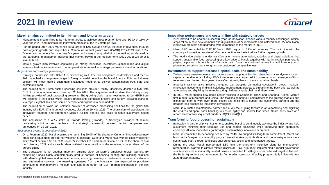## **2021 in review**



#### **Marel remains committed to its mid-term and long-term targets**

- Management is committed to its mid-term targets to achieve gross profit of 40% and SG&A of 18% by year-end 2023, and maintain the innovation promise at the 6% strategic level.
- For the period 2017-2026 Marel has set a target of 12% average annual increase in revenues, through both organic growth and acquisitions. Compound annual growth rate (CAGR) 2017-2021 was 7.0%. Due to catch up effect from the past five years and a very strong tailwind in the market, accelerated by the pandemic, management believes that market growth in the medium term (2021-2026) will be at a level of 6-8%.
- Marel's growth plan involves capitalizing on strong innovation investment, global reach and digital solutions to drive expansion and market penetration, as well as strategic partnerships and acquisitions.

#### *Acquisitions and strategic partnerships*

- Strategic partnership with TOMRA is proceeding well. The two companies co-developed and then in 2021 launched a true game-changer in foreign material detection, the Marel Spectra. This revolutionary solution will meet Marel's customers challenges head on to deliver contamination free, safe and sustainable food.
- The acquisition of Dutch duck processing solutions provider Poultry Machinery Joosten (PMJ), with EUR 5m in annual revenues, closed on 21 Jan 2021. The acquisition makes Marel the industry's only full-line provider of duck processing solutions. The growing duck market (estimated to be ~EUR 6bn) will become a third pillar within poultry processing alongside broilers and turkey, allowing Marel to leverage its global sales and service network and expand into new markets.
- The acquisition of Valka, an Icelandic provider of advanced processing solutions for the global fish industry with EUR 17m in annual revenues, closed on 19 Nov 2021. The acquisition will accelerate the innovation roadmap and strengthen Marel's full-line offering and scale to serve customers' needs better.
- The acquisition of a 40% stake in Stranda Prolog (Stranda), a Norwegian provider of salmon processing solutions, and the launch of a strategic partnership between the two companies was announced on 29 Jan 2021.

#### *Subsequent events in beginning of 2022*

- On 1 February 2022, Marel acquired the remaining 50.0% of the shares of Curio, an innovative primary processing equipment provider for whitefish processing. Curio and Marel have worked closely together since Marel acquired 39.3% of Curio on 22 October 2019 and an additional 10.7% of the share capital on 4 January 2021 and as such, Marel initiated the acquisition of the remaining shares ahead of the agreed timing.
- The transaction is yet another important building block on Marel's ambitious growth journey. By combining Curio's highly complementary product portfolio of heading, filleting and skinning solutions with Marel's global sales and service network, ensuring proximity to customers for sales, installations and aftermarket services, the resulting synergies from the integration are expected to positively contribute to management's medium and long-term target for EBIT margin expansion in the fish industry.

#### **Innovation performance and costs in line with strategic targets**

- 2021 proved to be another successful year for innovation, despite various mobility challenges. Critical steps taken in core developments and digitalization of new products and installed base. 27 new highly innovative products and upgrades were introduced to the market in 2021.
- Marel R&D amounted to EUR 80.8m in 2021, equal to 5.9% of revenues. This is in line with the company's innovation promise of ~6% on a continuous basis to drive further organic growth.
- The food value chain is under transformation where automation, robotics and digital solutions that support sustainable food processing are key drivers. Marel, together with its innovation partners, is playing a pivotal role in this transformation with focus on continued innovation and introduction of pioneering solutions that strengthen our customers' competitiveness.

#### **Investments to support increased speed, scale and sustainability**

- To best serve customer needs and capture growth opportunities from changing market dynamics, cash capital expenditures excluding R&D investments are expected to increase to on average 4-5% of revenues over the next four years, thereafter returning back to more normalized levels.
- Important transformative initiatives ongoing e.g. stepping up market coverage in growth markets, innovation investments in digital solutions, improvement projects to streamline the back-end, as well as automating and digitizing the manufacturing platform, supply chain and aftermarket.
- In 2021, Marel opened new demo center facilities in Campinas, Brazil and Shanghai, China, Marel's first in both Latin America and China. The facilities cement our commitment to the growing markets and signal our intent to work even more closely and efficiently to support our customers, partners and the broader food processing industry in key regions.
- Marel is a trusted maintenance partner and a key focus going forward is on automating and digitizing the end-to-end spare parts handling to ensure agility and shorter lead times. Spare parts sales at a record level for two sequential quarters, 3Q21 and 4Q21.

#### **Transforming food processing, sustainably**

- Innovation in partnership with customers, enables Marel to continuously advance the industry and help customers minimize their resource use and carbon emissions while improving their operational efficiency. All new innovations go through a sustainability innovation scorecard.
- Marel is committed to becoming net zero by 2040. To support its long-term commitment, Marel has launched a five-year sustainability program aimed at steering both Marel and the industry onto a more sustainable path, through ambitious environmental, social, and governance targets.
- During the year, Marel incorporated ESG into the short-term incentive plans for management remuneration, started its climate-related disclosure (TCFD) journey, implemented a robust governance structure around sustainability related issues, committed to setting a science-based target in line with the Paris Agreement and announced its first medium-term sustainability program, fully in line with our 2026 growth strategy.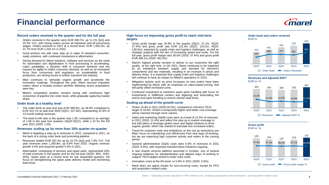## **Financial performance**



#### **Record orders received in the quarter and for the full year**

- Orders received in the quarter were EUR 400.7m, up 11.1% QoQ and 25.3% YoY, with strong orders across all industries and all processing stages. Orders received in 2021 at a record level, EUR 1,502.0m, up 21.7% from EUR 1,234.1m in 2020.
- Good product mix with clear step up in sales of standard consumerready solutions, with continued momentum in aftermarket.
- Strong demand for Marel solutions, software and services as the need for automation and digitalization in food processing is accelerating. Labor availability, a dynamic shift in consumer behavior and the request for agility to match consumer demand, as well as an increased focus from consumers and regulators on sustainability in food production, are driving forces to further transform the industry.
- M&A continues to stimulate organic growth and accelerate the innovation roadmap. Throughout the year, Marel secured important orders where a broader product portfolio following recent acquisitions were key.
- Marel's competitive position remains strong with continuous high conversion of pipeline into order book, while gradually capturing market share.

#### **Order book at a healthy level**

- The order book at year-end was EUR 569.0m, up 36.9% compared to EUR 415.7m at year-end 2020 (3Q21: 527.8m), representing 41.8% of 12-month trailing revenues.
- The book-to-bill ratio in the quarter was 1.09, compared to an average of 1.06 in the past four quarters (4Q20-3Q21), while 1.10 for the full year 2021 (2020: 1.00).

#### **Revenues scaling up by more than 10% quarter-on-quarter**

- Marel is targeting a step up in revenues in 2022, compared to 2021, on the back of a strong order book and promising pipeline.
- Revenues totaled EUR 367.4m up by 10.7% QoQ and 7.0% YoY. Full year revenues were 1,360.8m, up 9.9% from 2020. Organic revenue growth 4.4% and acquired growth 5.5% in 2021.
- Aftermarket, comprising of services and spare parts, represented 40% of total revenues in the quarter and for the full year (4Q20: 38%, 2020: 40%). Spare parts at a record level for two sequential quarters, full focus on strengthening the spare parts delivery model and shortening lead times.

#### **High focus on improving gross profit to reach mid-term targets**

- Gross profit margin was 35.9% in the quarter (3Q21: 37.1%, 4Q20: 37.4%) and gross profit was EUR 131.9m (3Q21: 123.2m, 4Q20: 128.5m), impacted by supply chain and logistics challenges, as well as strategic projects with the aim of increasing speed and scale. For the full year, gross profit margin was 36.6% (2020: 37.4%) and gross profit EUR 498.1m (2020: 462.5m)
- Marel's highest priority remains to deliver to our customers the right quality, at the right time. In Q4 2021, Marel continued to be impacted by an imbalance between supply and demand for electronic components and raw materials, resulting in an increase in prices and delivery times. It is expected that supply chain and logistics challenges will continue to have an impact on Marel's operations in 1H22.
- Mitigation actions such as price increases on new orders have been implemented by Marel, with an emphasis on value-based pricing, that will partly offset increased costs.
- Continued investment to transform spare parts handling with focus on investments in fulfillment centers and digitizing and automating the end-to-end parts handling to ensure shorter lead times.

#### **Scaling up ahead of the growth curve**

- SG&A 19.4% in 2021 (2020:18.3%), compared to mid-term YE23 target of 18.0%. SG&A is temporarily higher and better cost coverage will be reached through more volume.
- Sales and marketing (S&M) costs were at a level of 12.5% of revenues in 2021 (2020: 11.4%) and reflect the step up in market coverage in line with plans to leverage global reach and digital solutions to drive organic growth, which has started to translate into increased orders.
- Travel for customer visits and exhibitions on the rise as restrictions are lifted, focus on maintaining cost efficiencies from new ways of working, but we are expecting high customer activity and orders in the coming period.
- General administrative (G&A) costs were 6.9% of revenues in 2021 (2020: 6.9%), with important transformative initiatives ongoing.
- A new shared services platform launched in October, one of several ongoing initiatives for standardization and aligned ways of working to support YE23 targets aimed to lower G&A costs.
- Innovation costs at the 6% level, or 5.9% in 2021 (2020: 5.6%).
- Marel does not adjust results for non-recurring costs, except for PPA and acquisition related costs.

**Order book and orders received**







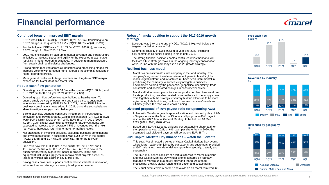## **Financial performance**



#### **Continued focus on improved EBIT margin**

- EBIT<sup>1</sup> was EUR 41.0m (3Q21: 36.0m, 4Q20: 52.3m), translating to an EBIT<sup>1</sup> margin in the quarter of 11.2% (3Q21: 10.8%, 4Q20: 15.2%).
- For the full year,  $EBIT<sup>1</sup>$  was EUR 153.6m (2020: 166.8m), translating EBIT<sup>1</sup> margin 11.3% (2020: 13.5%).
- 2021 margins colored by step up in market coverage and infrastructure initiatives to increase speed and agility for the expected growth curve resulting in higher operating expenses, in addition to margin pressure from supply chain and logistics challenges.
- Strong orders received across all industries and processing stages will increase volume with foreseen more favorable industry mix, resulting in higher operating profits.
- Management continues to target medium and long-term EBIT margin expansion for Marel Meat and Marel Fish.

#### **Robust cash flow generation**

- Operating cash flow was EUR 54.5m in the quarter (4Q20: 38.9m) and EUR 212.3m for the full year 2021 (2020: 217.6m).
- Operating cash flow before inventory buildup at healthy level. To ensure timely delivery of equipment and spare parts to customers, inventories increased by EUR 73.5m in 2021, thereof EUR 9.9m from business combinations, was added in 2021, using the strong balance sheet to mitigate supply chain challenges.
- Strong cash flow supports continued investment in infrastructure, innovation and growth strategy. Capital expenditures (CAPEX) in 4Q21 were EUR 34.8m (4Q20: 24.6m) while EUR 85.1m in 2021 (2020: 71.1m). Cash capital expenditures excluding R&D investments are expected to increase to on average 4-5% of revenues over the next four years, thereafter, returning to more normalized levels.
- Net cash used in investing activities, excluding business combinations and investments/loans in associates, was EUR 29.7m in the quarter (4Q20: 18.4m) and EUR 67.1m (2020: 51.7m) for the full year equivalent.
- Free cash flow was EUR 15.8m in the quarter (4Q20: 17.7m) and EUR 116.0m for the full year 2021 (2020: 140.5m). Free cash flow in the quarter impacted by high investments in property, plant, and equipment including supply chain improvement projects as well as leases converted into assets in key Marel sites.
- Strong cash conversion supports continued investments in innovation, infrastructure and strategic inventory buildup when needed.

#### **Robust financial position to support the 2017-2016 growth strategy**

- Leverage was 1.0x at the end of 4Q21 (4Q20: 1.0x), well below the targeted capital structure of 2-3x.
- Committed liquidity of EUR 666.5m at year-end 2021, including fully committed all-senior funding in place until 2025.
- The strong financial position enables continued investment and will facilitate future strategic moves in the ongoing industry consolidation wave, in line with the company's 2017-2026 growth strategy.

#### **Resilient business model**

- Marel is a critical infrastructure company in the food industry. The company's significant investments in recent years in Marel's global reach, digital platform and infrastructure, have been instrumental in positioning the company to successfully navigate a business environment colored by the pandemic, geopolitical uncertainty, trade constraints and accelerated changes in consumer behavior.
- Marel's effort in recent years, to shorten production lead times and colocate production, has also created more resilience in the supply chain. This together with the strategic inventory buildup allows us to be more agile during turbulent times, continue to serve customers' needs and ultimately keep the food value chain running.

#### **Dividend proposal of 40% payout ratio for upcoming AGM**

- In line with Marel's targeted capital allocation and dividend policy of 20- 40% payout ratio, the Board of Directors will propose a 40% payout ratio at the 2022 Annual General Meeting, to be held on 16 March 2022 (2021: 40%, 2020: 40%).
- Based on a EUR 5.12 cents dividend per outstanding share paid for the operational year 2021, or 6% lower per share than in 2020, the estimated total dividend payment will be around EUR 38.7m.

#### **2021 Capital Markets Day mini-series – watch the 5 events**

- This year, Marel hosted a series of virtual Capital Markets Day events where Marel leadership, joined by our experts and customers, provided a 360° insight into how Marel delivers growth — globally, digitally and sustainably.
- The 360° mini-series consists of a virtual site visit to Marel in Iceland and four Capital Markets Day virtual events centered on four key features of Marel's unique equity story and the future of food processing: growth, global reach, digitalization and sustainability.
- The virtual events were recorded and available on marel.com/cmd360.





#### **Revenues by geography**  $\frac{1}{2}$



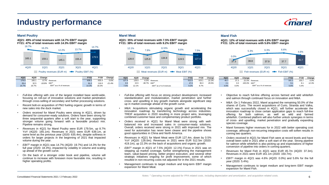## **Industry performance**

### **Marel Poultry**



| 4Q21  | <b>4Q20</b> | Change   |                            | <b>FY21</b> | <b>FY20</b> | Change   |
|-------|-------------|----------|----------------------------|-------------|-------------|----------|
| 179.5 | 165.1       | 8.7%     | Revenues                   | 639.1       | 635.4       | 0.6%     |
| 26.4  | 32.5        | $-18.8%$ | <b>FBIT</b>                | 91.2        | 116.0       | $-21.4%$ |
| 14.7% | 19.7%       |          | $EBIT1$ as a % of revenues | 14.3%       | 18.3%       |          |

#### **Marel Meat**

**4Q21: 35% of total revenues with 7.5% EBIT<sup>1</sup> margin FY21: 38% of total revenues with 9.2% EBIT<sup>1</sup> margin**



| 4Q21  | 4Q20  | Change  |                            | <b>FY21</b> | <b>FY20</b> | Change |
|-------|-------|---------|----------------------------|-------------|-------------|--------|
| 127.4 | 128.0 | $-0.5%$ | Revenues                   | 512.5       | 419.1       | 22.3%  |
| 9.5   | 15.5  | -38.7%  | <b>FBIT</b>                | 47.0        | 36.3        | 29.5%  |
| 7.5%  | 12.1% |         | $EBIT1$ as a % of revenues | 9.2%        | 8.7%        |        |

### **Marel Fish**





| 4Q21 | 4Q20 | Change |                            | <b>FY21</b> | <b>FY20</b> | Change |
|------|------|--------|----------------------------|-------------|-------------|--------|
| 45.7 | 37.3 | 22.5%  | Revenues                   | 161.1       | 150.7       | 6.9%   |
| 2.1  | 0.0  | 100.0% | EBIT <sup>1</sup>          | 9.1         | 8.1         | 12.3%  |
| 4.6% | 0.0% |        | $EBIT1$ as a % of revenues | 5.6%        | 5.4%        |        |

- *Full-line offering* with one of the largest installed base world-wide, focusing on roll-out of innovative solutions and market penetration through cross-selling of secondary and further processing solutions.
- Recent bolt-on acquisition of PMJ fueling organic growth in terms of new sales into the duck market.
- *Orders received* for Marel Poultry were strong in 4Q21, driven by demand for consumer-ready solutions. Orders have been strong for three sequential quarters after a soft start to the year, supporting stronger volume going forward with a favorable product mix. Pipeline remains strong,
- *Revenues* in 4Q21 for Marel Poultry were EUR 179.5m, up 8.7% YoY (4Q20: 165.1m). Revenues in 2021 were EUR 639.1m, at same level as the previous year (2020: 635.4m), despite softness in orders for larger projects in the beginning of 2021 that impacted volume during the year.
- *EBIT<sup>1</sup>* margin in 4Q21 was 14.7% (4Q20: 19.7%) and 14.3% for the full year (2020: 18.3%), impacted by volatility in volume and scaling up ahead of the growth curve.
- On the back of a stronger order book and pipeline, volume will continue to increase with foreseen more favorable mix, resulting in higher operating profits.
- *Full-line offering* with focus on strong product development, increased standardization and modularization, market penetration and further cross- and upselling in key growth markets alongside significant step up in market coverage ahead of the growth curve.
- *M&A*: Acquisitions stimulating organic growth and accelerating the innovation roadmap by transferring technology across industries. TREIF acquisition in 2020 resulting in more project wins, leveraging combined customer base and complementary product portfolio.
- *Orders received* in 4Q21 for Marel Meat were strong with wellbalanced mix and increased sales in consumer-ready solutions. Overall, orders received were strong in 2021 with improved mix. The need for automation has never been clearer and the pipeline shows good opportunities in China and North America.
- *Revenues* in 4Q21 for Marel Meat were EUR 127.4m, down by 0.5% YoY (4Q20: 128.0m). Revenues in 2021 were EUR 512.5m (2020: 419.1m), up 22.3% on the back of acquisitions and organic growth.
- *EBIT<sup>1</sup>* margin in 4Q21 of 7.5% (4Q20: 12.1%) Focus in 2021 was on stepping up market coverage, further strengthening the management team, value-based pricing, better project execution, and several other strategic initiatives ongoing for profit improvement, some of which resulted in non-recurring costs not adjusted for in the 2021 results.
- Management continues to target medium and long-term EBIT margin expansion for Marel Meat.
- Objective to reach full-line offering across farmed and wild whitefish and salmon through continued focus on innovation and M&A.
- *M&A*: On 1 February 2022, Marel acquired the remaining 50.0% of the shares of Curio. The recent acquisitions of Curio, Stranda and Valka, which was successfully closed in 4Q21, will further accelerate the innovation roadmap to close certain application gaps to reach full-line offering for both salmon, as well as wild and farmed whitefish. Combined platform will also further unlock synergies in terms of cross- and upselling, market penetration and gradually expanding species coverage.
- Marel foresees higher revenues for in 2022 with better operating cost coverage, although non-recurring integration costs will soften results in coming two quarters.
- *Orders received* in 4Q21 for Marel Fish were at record levels and have overall been solid in 2021 after a soft start of the year. Strong pipeline for salmon while whitefish is also picking up and expectations of higher conversion of pipeline into orders in coming quarters.
- *Revenues* for Marel Fish in 4Q21 were EUR 45.7m (4Q20: 37.3m). Revenues in 2021 were EUR 161.1m (2020: 150.7m).
- *EBIT<sup>1</sup>* margin in 4Q21 was 4.6% (4Q20: 0.0%) and 5.6% for the full year (2020: 5.4%).
- Management continues to target medium and long-term EBIT margin expansion for Marel Fish.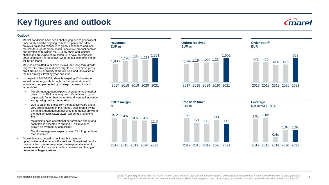## **Key figures and outlook**

### **Outlook**

- Market conditions have been challenging due to geopolitical uncertainty and the ongoing COVID-19 pandemic. Marel enjoys a balanced exposure to global economies and local markets through its global reach, innovative product portfolio and diversified business mix. Supply chain and logistics challenges are expected to continue to have an impact in 2022, although it is not known what the full economic impact will be on Marel.
- Marel is committed to achieve its mid- and long-term growth targets. Our strategic mid-term targets are to achieve gross profit around 40%, SG&A of around 18% and Innovation at the 6% strategic level by year-end 2023.
- In the period 2017-2026, Marel is targeting 12% average annual revenue growth through market penetration and innovation, complemented by strategic partnerships and acquisitions.
	- Marel's management expects average annual market growth of 4-6% in the long term. Marel aims to grow organically faster than the market, driven by innovation and growing market penetration.
	- Due to catch up effect from the past five years and a very strong tailwind in the market, accelerated by the pandemic, management believes that market growth in the medium term (2021-2026) will be at a level of 6- 8%.
	- Maintaining solid operational performance and strong cash flow is expected to support 5-7% revenues growth on average by acquisition.
	- Marel's management expects basic EPS to grow faster than revenues.
- Growth is not expected to be linear but based on opportunities and economic fluctuations. Operational results may vary from quarter to quarter due to general economic developments, fluctuations in orders received and timing of deliveries of larger systems.



**Revenues** EUR m

**EBIT<sup>1</sup> margin**  $\frac{1}{2}$ 15.2 14.6 13.5 13.5 11.3 2017 2018 2019 2020 2021



2017 2018 2019 2020 2021



**Order book<sup>3</sup>**

2017 2018 2019 2020 2021





**Leverage** Net debt/EBITDA  $1.9x$  2.0x